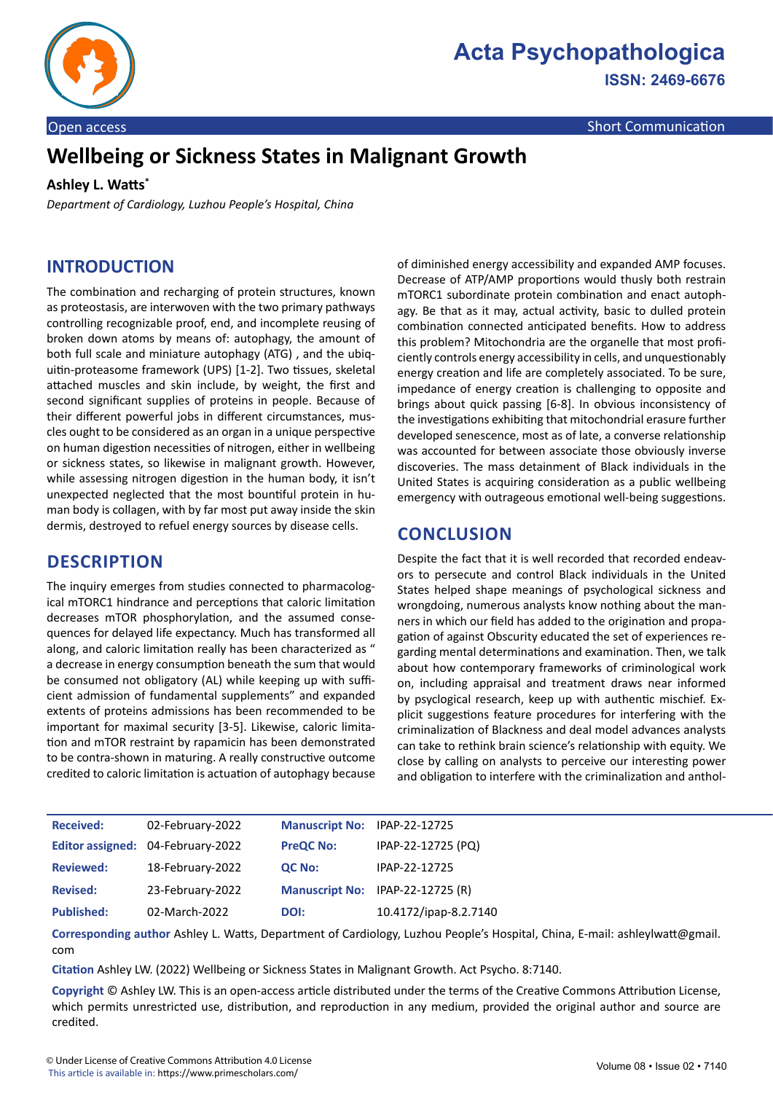

**ISSN: 2469-6676**

Open access Short Communication and Communication and Communication and Communication and Communication and Co

# **Wellbeing or Sickness States in Malignant Growth**

#### **Ashley L. Watts\***

*Department of Cardiology, Luzhou People's Hospital, China*

## **INTRODUCTION**

The combination and recharging of protein structures, known as proteostasis, are interwoven with the two primary pathways controlling recognizable proof, end, and incomplete reusing of broken down atoms by means of: autophagy, the amount of both full scale and miniature autophagy (ATG) , and the ubiquitin-proteasome framework (UPS) [1-2]. Two tissues, skeletal attached muscles and skin include, by weight, the first and second significant supplies of proteins in people. Because of their different powerful jobs in different circumstances, muscles ought to be considered as an organ in a unique perspective on human digestion necessities of nitrogen, either in wellbeing or sickness states, so likewise in malignant growth. However, while assessing nitrogen digestion in the human body, it isn't unexpected neglected that the most bountiful protein in human body is collagen, with by far most put away inside the skin dermis, destroyed to refuel energy sources by disease cells.

## **DESCRIPTION**

The inquiry emerges from studies connected to pharmacological mTORC1 hindrance and perceptions that caloric limitation decreases mTOR phosphorylation, and the assumed consequences for delayed life expectancy. Much has transformed all along, and caloric limitation really has been characterized as " a decrease in energy consumption beneath the sum that would be consumed not obligatory (AL) while keeping up with sufficient admission of fundamental supplements" and expanded extents of proteins admissions has been recommended to be important for maximal security [3-5]. Likewise, caloric limitation and mTOR restraint by rapamicin has been demonstrated to be contra-shown in maturing. A really constructive outcome credited to caloric limitation is actuation of autophagy because

of diminished energy accessibility and expanded AMP focuses. Decrease of ATP/AMP proportions would thusly both restrain mTORC1 subordinate protein combination and enact autophagy. Be that as it may, actual activity, basic to dulled protein combination connected anticipated benefits. How to address this problem? Mitochondria are the organelle that most proficiently controls energy accessibility in cells, and unquestionably energy creation and life are completely associated. To be sure, impedance of energy creation is challenging to opposite and brings about quick passing [6-8]. In obvious inconsistency of the investigations exhibiting that mitochondrial erasure further developed senescence, most as of late, a converse relationship was accounted for between associate those obviously inverse discoveries. The mass detainment of Black individuals in the United States is acquiring consideration as a public wellbeing emergency with outrageous emotional well-being suggestions.

# **CONCLUSION**

Despite the fact that it is well recorded that recorded endeavors to persecute and control Black individuals in the United States helped shape meanings of psychological sickness and wrongdoing, numerous analysts know nothing about the manners in which our field has added to the origination and propagation of against Obscurity educated the set of experiences regarding mental determinations and examination. Then, we talk about how contemporary frameworks of criminological work on, including appraisal and treatment draws near informed by psyclogical research, keep up with authentic mischief. Explicit suggestions feature procedures for interfering with the criminalization of Blackness and deal model advances analysts can take to rethink brain science's relationship with equity. We close by calling on analysts to perceive our interesting power and obligation to interfere with the criminalization and anthol-

| <b>Received:</b>  | 02-February-2022                  | Manuscript No: IPAP-22-12725 |                                  |
|-------------------|-----------------------------------|------------------------------|----------------------------------|
|                   | Editor assigned: 04-February-2022 | <b>PreQC No:</b>             | IPAP-22-12725 (PQ)               |
| <b>Reviewed:</b>  | 18-February-2022                  | QC No:                       | IPAP-22-12725                    |
| <b>Revised:</b>   | 23-February-2022                  |                              | Manuscript No: IPAP-22-12725 (R) |
| <b>Published:</b> | 02-March-2022                     | DOI:                         | 10.4172/ipap-8.2.7140            |

**Corresponding author** Ashley L. Watts, Department of Cardiology, Luzhou People's Hospital, China, E-mail: ashleylwatt@gmail. com

**Citation** Ashley LW. (2022) Wellbeing or Sickness States in Malignant Growth. Act Psycho. 8:7140.

**Copyright** © Ashley LW. This is an open-access article distributed under the terms of the Creative Commons Attribution License, which permits unrestricted use, distribution, and reproduction in any medium, provided the original author and source are credited.